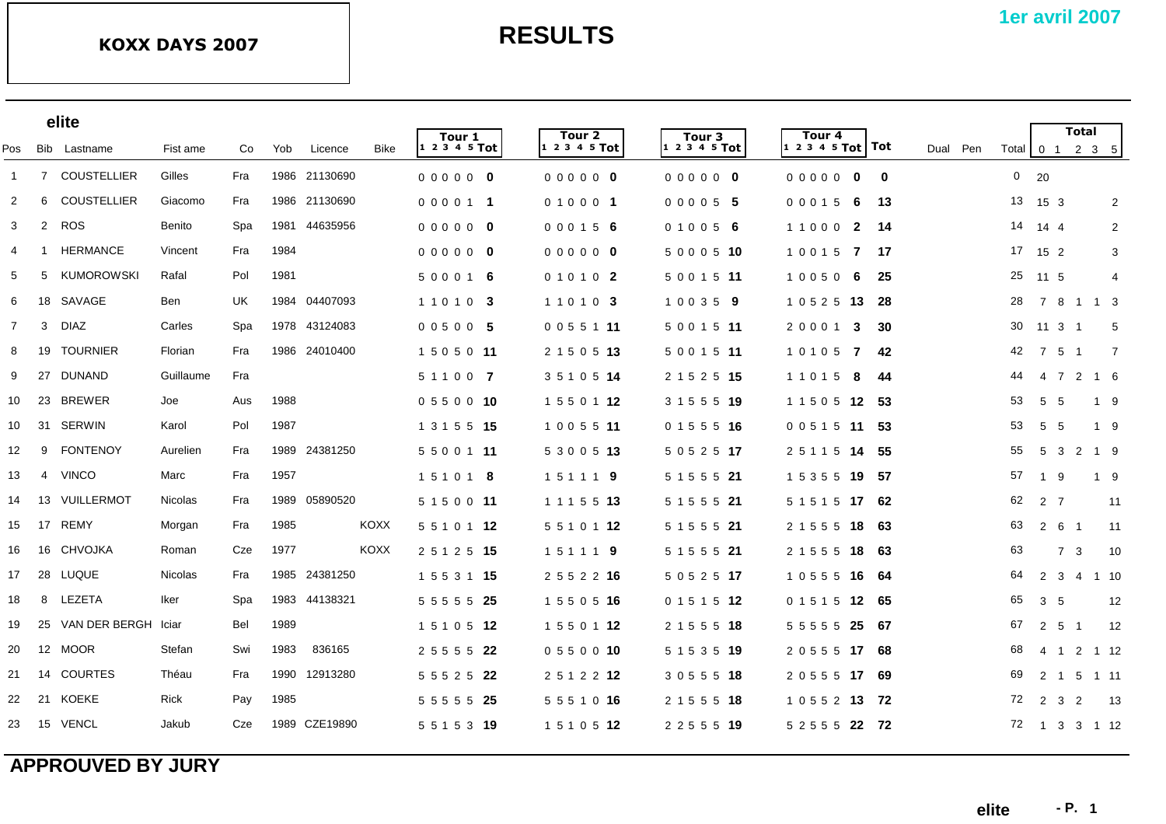|                |                | elite               |                |           |      |               |             |                       |                         |                         |                               |            |                |                   | <b>Total</b>   |                                                         |  |
|----------------|----------------|---------------------|----------------|-----------|------|---------------|-------------|-----------------------|-------------------------|-------------------------|-------------------------------|------------|----------------|-------------------|----------------|---------------------------------------------------------|--|
| Pos            |                | Bib Lastname        | Fist ame       | Co        | Yob  | Licence       | <b>Bike</b> | Tour 1<br>$12345$ Tot | Tour 2<br>1 2 3 4 5 Tot | Tour 3<br>1 2 3 4 5 Tot | Tour 4<br>$12345$ Tot Tot     | Dual Pen   |                |                   |                | Total $\begin{bmatrix} 0 & 1 & 2 & 3 & 5 \end{bmatrix}$ |  |
| $\overline{1}$ |                | 7 COUSTELLIER       | Gilles         | Fra       |      | 1986 21130690 |             | 000000                | 000000                  | 000000                  | 00000<br>$\bf{0}$             | $\bf{0}$   | $0$ 20         |                   |                |                                                         |  |
| $\overline{2}$ | 6              | <b>COUSTELLIER</b>  | Giacomo        | Fra       |      | 1986 21130690 |             | 000011                | 010001                  | 000055                  | 0 0 0 1 5<br>- 6              | -13        |                | 13 15 3           |                | $\overline{2}$                                          |  |
| $\mathbf{3}$   | $\overline{2}$ | <b>ROS</b>          | Benito         | Spa       | 1981 | 44635956      |             | 0000000               | 000156                  | 010056                  | 11000<br>$\overline{2}$       | -14        | 14 14 4        |                   |                | 2                                                       |  |
| 4              | -1             | <b>HERMANCE</b>     | Vincent        | Fra       | 1984 |               |             | 000000                | 000000                  | 5 0 0 0 5 10            | 10015 7                       | -17        |                | 17 15 2           |                | 3                                                       |  |
| 5              | 5              | <b>KUMOROWSKI</b>   | Rafal          | Pol       | 1981 |               |             | 5 0 0 0 1 6           | 010102                  | 5 0 0 1 5 11            | 10050<br>-6                   | 25         |                | 25 11 5           |                | 4                                                       |  |
| 6              |                | 18 SAVAGE           | Ben            | <b>UK</b> | 1984 | 04407093      |             | 1 1 0 1 0 3           | 1 1 0 1 0 3             | 100359                  | 1 0 5 2 5 <b>13</b>           | 28<br>-28  |                |                   |                | 7 8 1 1 3                                               |  |
| $\overline{7}$ | 3              | DIAZ                | Carles         | Spa       |      | 1978 43124083 |             | 00500 5               | 0 0 5 5 1 11            | 5 0 0 1 5 11            | 2 0 0 0 1<br>3                | 30         |                | 30 11 3 1         |                | 5                                                       |  |
| 8              |                | 19 TOURNIER         | Florian        | Fra       |      | 1986 24010400 |             | 1 5 0 5 0 11          | 2 1 5 0 5 13            | 5 0 0 1 5 11            | 10105 7                       | 42<br>42   |                | 7 5 1             |                | $\overline{7}$                                          |  |
| 9              | 27             | DUNAND              | Guillaume      | Fra       |      |               |             | 5 1 1 0 0 7           | 3 5 1 0 5 14            | 2 1 5 2 5 15            | 1 1 0 1 5<br>8                | 44<br>-44  |                | 4 7               |                | 2 1 6                                                   |  |
| 10             | 23             | <b>BREWER</b>       | Joe            | Aus       | 1988 |               |             | 0550010               | 1 5 5 0 1 12            | 3 1 5 5 5 19            | 1 1 5 0 5 <b>12 53</b>        | 53         | 5              | -5                |                | 1 9                                                     |  |
| 10             | 31             | SERWIN              | Karol          | Pol       | 1987 |               |             | 1 3 1 5 5 15          | 1 0 0 5 5 11            | 0 1 5 5 5 16            | 0 0 5 1 5 11                  | 53<br>-53  | 5              | 5                 |                | 1 9                                                     |  |
| 12             | 9              | <b>FONTENOY</b>     | Aurelien       | Fra       |      | 1989 24381250 |             | 5 5 0 0 1 11          | 5 3 0 0 5 13            | 5 0 5 2 5 17            | 2 5 1 1 5 14                  | 55<br>-55  | 5              | $\mathbf{3}$      |                | 2 1 9                                                   |  |
| 13             | $\overline{4}$ | <b>VINCO</b>        | Marc           | Fra       | 1957 |               |             | 151018                | 151119                  | 5 1 5 5 5 21            | 1 5 3 5 5 19                  | 57<br>-57  | $\overline{1}$ | -9                |                | 19                                                      |  |
| 14             | 13             | VUILLERMOT          | <b>Nicolas</b> | Fra       |      | 1989 05890520 |             | 5 1 5 0 0 11          | 1 1 1 5 5 13            | 5 1 5 5 5 21            | 5 1 5 1 5 17                  | 62<br>62   |                | 2 7               |                | 11                                                      |  |
| 15             | 17             | <b>REMY</b>         | Morgan         | Fra       | 1985 |               | <b>KOXX</b> | 5 5 1 0 1 12          | 5 5 1 0 1 12            | 5 1 5 5 5 21            | 2 1 5 5 5 18                  | 63<br>63   | $\overline{2}$ | 6                 | - 1            | 11                                                      |  |
| 16             |                | 16 CHVOJKA          | Roman          | Cze       | 1977 |               | <b>KOXX</b> | 2 5 1 2 5 15          | 151119                  | 5 1 5 5 5 21            | 2 1 5 5 5<br>18               | 63<br>-63  |                | $\overline{7}$    | 3              | 10                                                      |  |
| 17             |                | 28 LUQUE            | <b>Nicolas</b> | Fra       |      | 1985 24381250 |             | 1 5 5 3 1 15          | 2 5 5 2 2 16            | 5 0 5 2 5 17            | 1 0 5 5 5 16                  | 64<br>-64  | $\overline{2}$ | 3                 | 4              | 1 10                                                    |  |
| 18             | 8              | LEZETA              | Iker           | Spa       |      | 1983 44138321 |             | 5 5 5 5 5 25          | 1 5 5 0 5 16            | 0 1 5 1 5 12            | 0 1 5 1 5<br>12 <sup>12</sup> | 65<br>- 65 |                | 3 <sub>5</sub>    |                | 12                                                      |  |
| 19             | 25             | VAN DER BERGH Iciar |                | Bel       | 1989 |               |             | 1 5 1 0 5 12          | 1 5 5 0 1 12            | 2 1 5 5 5 18            | 5 5 5 5 5 25                  | 67<br>- 67 |                | $2\quad 5\quad 1$ |                | 12                                                      |  |
| 20             |                | 12 MOOR             | Stefan         | Swi       | 1983 | 836165        |             | 2 5 5 5 5 22          | 0 5 5 0 0 10            | 5 1 5 3 5 19            | 2 0 5 5 5 17 68               | 68         |                |                   |                | 4 1 2 1 12                                              |  |
| 21             |                | 14 COURTES          | Théau          | Fra       | 1990 | 12913280      |             | 5 5 5 2 5 22          | 2 5 1 2 2 12            | 3 0 5 5 5 18            | 2 0 5 5 5 17 69               | 69         | $\overline{2}$ |                   |                | 1 5 1 11                                                |  |
| 22             | 21             | KOEKE               | Rick           | Pay       | 1985 |               |             | 5 5 5 5 5 25          | 5 5 5 1 0 16            | 2 1 5 5 5 18            | 1 0 5 5 2 <b>13 72</b>        | 72         |                | 2 3               | $\overline{2}$ | -13                                                     |  |
| 23             | 15             | VENCL               | Jakub          | Cze       |      | 1989 CZE19890 |             | 5 5 1 5 3 19          | 1 5 1 0 5 12            | 2 2 5 5 5 19            | 5 2 5 5 5 22 72               |            |                |                   |                | 72 1 3 3 1 12                                           |  |
|                |                |                     |                |           |      |               |             |                       |                         |                         |                               |            |                |                   |                |                                                         |  |

## **APPROUVED BY JURY**